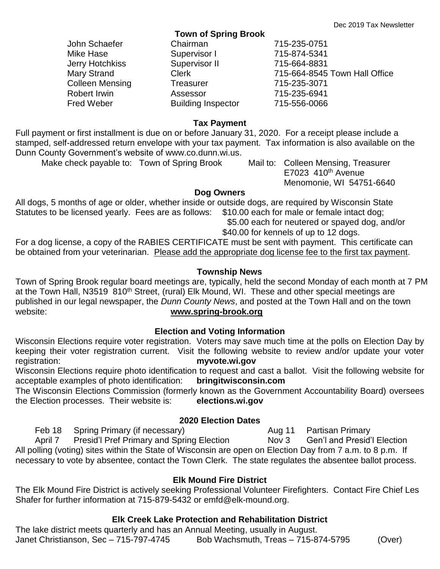| TOWN OF Spring Brook |                           |                               |
|----------------------|---------------------------|-------------------------------|
| John Schaefer        | Chairman                  | 715-235-0751                  |
| Mike Hase            | Supervisor I              | 715-874-5341                  |
| Jerry Hotchkiss      | Supervisor II             | 715-664-8831                  |
| Mary Strand          | <b>Clerk</b>              | 715-664-8545 Town Hall Office |
| Colleen Mensing      | <b>Treasurer</b>          | 715-235-3071                  |
| Robert Irwin         | Assessor                  | 715-235-6941                  |
| Fred Weber           | <b>Building Inspector</b> | 715-556-0066                  |
|                      |                           |                               |

#### **Tax Payment**

**Town of Spring Brook**

Full payment or first installment is due on or before January 31, 2020. For a receipt please include a stamped, self-addressed return envelope with your tax payment. Tax information is also available on the Dunn County Government's website of www.co.dunn.wi.us.

Make check payable to: Town of Spring Brook Mail to: Colleen Mensing, Treasurer

 $E7023$  410<sup>th</sup> Avenue Menomonie, WI 54751-6640

#### **Dog Owners**

All dogs, 5 months of age or older, whether inside or outside dogs, are required by Wisconsin State Statutes to be licensed yearly. Fees are as follows: \$10.00 each for male or female intact dog; \$5.00 each for neutered or spayed dog, and/or

\$40.00 for kennels of up to 12 dogs.

For a dog license, a copy of the RABIES CERTIFICATE must be sent with payment. This certificate can be obtained from your veterinarian. Please add the appropriate dog license fee to the first tax payment.

### **Township News**

Town of Spring Brook regular board meetings are, typically, held the second Monday of each month at 7 PM at the Town Hall, N3519 810<sup>th</sup> Street, (rural) Elk Mound, WI. These and other special meetings are published in our legal newspaper, the *Dunn County News*, and posted at the Town Hall and on the town website: **[www.spring-brook.org](http://www.spring-brook.org/)**

# **Election and Voting Information**

Wisconsin Elections require voter registration. Voters may save much time at the polls on Election Day by keeping their voter registration current. Visit the following website to review and/or update your voter registration: **myvote.wi.gov**

Wisconsin Elections require photo identification to request and cast a ballot. Visit the following website for<br>acceptable examples of photo identification: **bringitwisconsin.com** acceptable examples of photo identification:

The Wisconsin Elections Commission (formerly known as the Government Accountability Board) oversees the Election processes. Their website is: **elections.wi.gov**

# **2020 Election Dates**

Feb 18 Spring Primary (if necessary) The Management Aug 11 Partisan Primary April 7 Presid'l Pref Primary and Spring Election Nov 3 Gen'l and Presid'l Election All polling (voting) sites within the State of Wisconsin are open on Election Day from 7 a.m. to 8 p.m. If necessary to vote by absentee, contact the Town Clerk. The state regulates the absentee ballot process.

# **Elk Mound Fire District**

The Elk Mound Fire District is actively seeking Professional Volunteer Firefighters. Contact Fire Chief Les Shafer for further information at 715-879-5432 or emfd@elk-mound.org.

### **Elk Creek Lake Protection and Rehabilitation District**

The lake district meets quarterly and has an Annual Meeting, usually in August. Janet Christianson, Sec – 715-797-4745 Bob Wachsmuth, Treas – 715-874-5795 (Over)